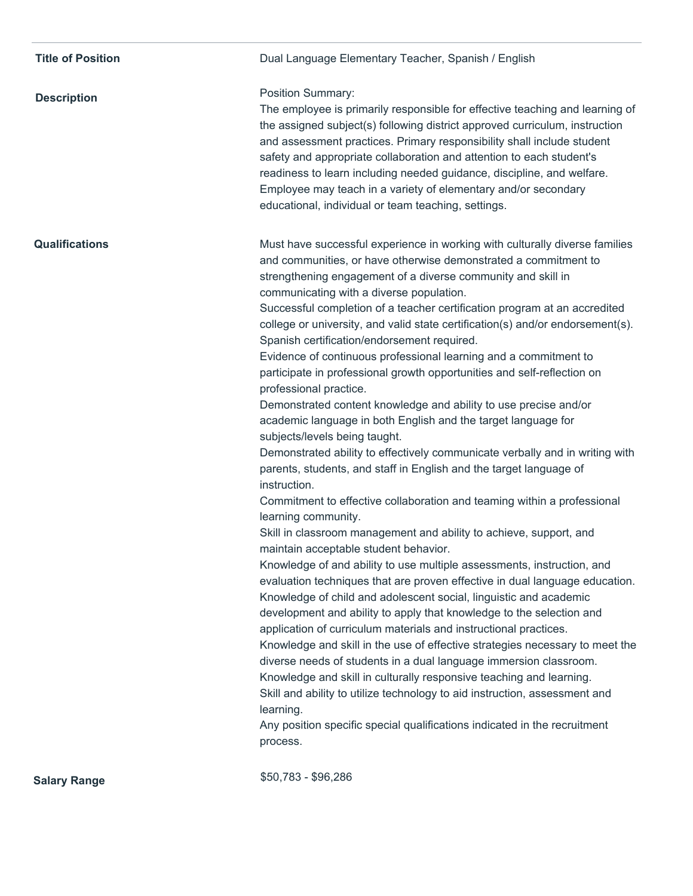| <b>Title of Position</b> | Dual Language Elementary Teacher, Spanish / English                                                                                                                                                                                                                                                                                                                                                                                                                                                                                                                                                                                                                                                                                                                                                                                                                                                                                                                                                                                                                                                                                                                                                                                                                                                                                                                                                                                                                                                                                                                                                                                                                                                                                                                                                                                                                                                                                                                                                      |
|--------------------------|----------------------------------------------------------------------------------------------------------------------------------------------------------------------------------------------------------------------------------------------------------------------------------------------------------------------------------------------------------------------------------------------------------------------------------------------------------------------------------------------------------------------------------------------------------------------------------------------------------------------------------------------------------------------------------------------------------------------------------------------------------------------------------------------------------------------------------------------------------------------------------------------------------------------------------------------------------------------------------------------------------------------------------------------------------------------------------------------------------------------------------------------------------------------------------------------------------------------------------------------------------------------------------------------------------------------------------------------------------------------------------------------------------------------------------------------------------------------------------------------------------------------------------------------------------------------------------------------------------------------------------------------------------------------------------------------------------------------------------------------------------------------------------------------------------------------------------------------------------------------------------------------------------------------------------------------------------------------------------------------------------|
| <b>Description</b>       | Position Summary:<br>The employee is primarily responsible for effective teaching and learning of<br>the assigned subject(s) following district approved curriculum, instruction<br>and assessment practices. Primary responsibility shall include student<br>safety and appropriate collaboration and attention to each student's<br>readiness to learn including needed guidance, discipline, and welfare.<br>Employee may teach in a variety of elementary and/or secondary<br>educational, individual or team teaching, settings.                                                                                                                                                                                                                                                                                                                                                                                                                                                                                                                                                                                                                                                                                                                                                                                                                                                                                                                                                                                                                                                                                                                                                                                                                                                                                                                                                                                                                                                                    |
| <b>Qualifications</b>    | Must have successful experience in working with culturally diverse families<br>and communities, or have otherwise demonstrated a commitment to<br>strengthening engagement of a diverse community and skill in<br>communicating with a diverse population.<br>Successful completion of a teacher certification program at an accredited<br>college or university, and valid state certification(s) and/or endorsement(s).<br>Spanish certification/endorsement required.<br>Evidence of continuous professional learning and a commitment to<br>participate in professional growth opportunities and self-reflection on<br>professional practice.<br>Demonstrated content knowledge and ability to use precise and/or<br>academic language in both English and the target language for<br>subjects/levels being taught.<br>Demonstrated ability to effectively communicate verbally and in writing with<br>parents, students, and staff in English and the target language of<br>instruction.<br>Commitment to effective collaboration and teaming within a professional<br>learning community.<br>Skill in classroom management and ability to achieve, support, and<br>maintain acceptable student behavior.<br>Knowledge of and ability to use multiple assessments, instruction, and<br>evaluation techniques that are proven effective in dual language education.<br>Knowledge of child and adolescent social, linguistic and academic<br>development and ability to apply that knowledge to the selection and<br>application of curriculum materials and instructional practices.<br>Knowledge and skill in the use of effective strategies necessary to meet the<br>diverse needs of students in a dual language immersion classroom.<br>Knowledge and skill in culturally responsive teaching and learning.<br>Skill and ability to utilize technology to aid instruction, assessment and<br>learning.<br>Any position specific special qualifications indicated in the recruitment<br>process. |
| <b>Salary Range</b>      | \$50,783 - \$96,286                                                                                                                                                                                                                                                                                                                                                                                                                                                                                                                                                                                                                                                                                                                                                                                                                                                                                                                                                                                                                                                                                                                                                                                                                                                                                                                                                                                                                                                                                                                                                                                                                                                                                                                                                                                                                                                                                                                                                                                      |